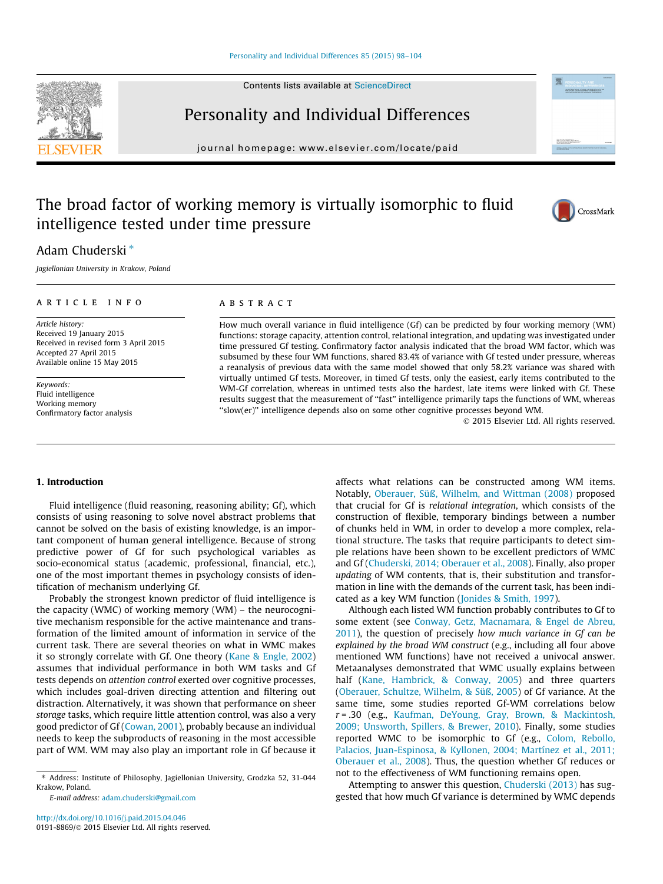#### [Personality and Individual Differences 85 \(2015\) 98–104](http://dx.doi.org/10.1016/j.paid.2015.04.046)

Contents lists available at [ScienceDirect](http://www.sciencedirect.com/science/journal/01918869)

# Personality and Individual Differences

journal homepage: [www.elsevier.com/locate/paid](http://www.elsevier.com/locate/paid)

## The broad factor of working memory is virtually isomorphic to fluid intelligence tested under time pressure

### Adam Chuderski<sup>\*</sup>

Jagiellonian University in Krakow, Poland

#### article info

Article history: Received 19 January 2015 Received in revised form 3 April 2015 Accepted 27 April 2015 Available online 15 May 2015

Keywords: Fluid intelligence Working memory Confirmatory factor analysis

#### **ABSTRACT**

How much overall variance in fluid intelligence (Gf) can be predicted by four working memory (WM) functions: storage capacity, attention control, relational integration, and updating was investigated under time pressured Gf testing. Confirmatory factor analysis indicated that the broad WM factor, which was subsumed by these four WM functions, shared 83.4% of variance with Gf tested under pressure, whereas a reanalysis of previous data with the same model showed that only 58.2% variance was shared with virtually untimed Gf tests. Moreover, in timed Gf tests, only the easiest, early items contributed to the WM-Gf correlation, whereas in untimed tests also the hardest, late items were linked with Gf. These results suggest that the measurement of ''fast'' intelligence primarily taps the functions of WM, whereas ''slow(er)'' intelligence depends also on some other cognitive processes beyond WM.

- 2015 Elsevier Ltd. All rights reserved.

#### 1. Introduction

Fluid intelligence (fluid reasoning, reasoning ability; Gf), which consists of using reasoning to solve novel abstract problems that cannot be solved on the basis of existing knowledge, is an important component of human general intelligence. Because of strong predictive power of Gf for such psychological variables as socio-economical status (academic, professional, financial, etc.), one of the most important themes in psychology consists of identification of mechanism underlying Gf.

Probably the strongest known predictor of fluid intelligence is the capacity (WMC) of working memory (WM) – the neurocognitive mechanism responsible for the active maintenance and transformation of the limited amount of information in service of the current task. There are several theories on what in WMC makes it so strongly correlate with Gf. One theory ([Kane & Engle, 2002\)](#page--1-0) assumes that individual performance in both WM tasks and Gf tests depends on attention control exerted over cognitive processes, which includes goal-driven directing attention and filtering out distraction. Alternatively, it was shown that performance on sheer storage tasks, which require little attention control, was also a very good predictor of Gf [\(Cowan, 2001\)](#page--1-0), probably because an individual needs to keep the subproducts of reasoning in the most accessible part of WM. WM may also play an important role in Gf because it

E-mail address: [adam.chuderski@gmail.com](mailto:adam.chuderski@gmail.com)

affects what relations can be constructed among WM items. Notably, [Oberauer, Süß, Wilhelm, and Wittman \(2008\)](#page--1-0) proposed that crucial for Gf is relational integration, which consists of the construction of flexible, temporary bindings between a number of chunks held in WM, in order to develop a more complex, relational structure. The tasks that require participants to detect simple relations have been shown to be excellent predictors of WMC and Gf [\(Chuderski, 2014; Oberauer et al., 2008\)](#page--1-0). Finally, also proper updating of WM contents, that is, their substitution and transformation in line with the demands of the current task, has been indicated as a key WM function [\(Jonides & Smith, 1997](#page--1-0)).

Although each listed WM function probably contributes to Gf to some extent (see [Conway, Getz, Macnamara, & Engel de Abreu,](#page--1-0) [2011\)](#page--1-0), the question of precisely how much variance in Gf can be explained by the broad WM construct (e.g., including all four above mentioned WM functions) have not received a univocal answer. Metaanalyses demonstrated that WMC usually explains between half [\(Kane, Hambrick, & Conway, 2005\)](#page--1-0) and three quarters ([Oberauer, Schultze, Wilhelm, & Süß, 2005](#page--1-0)) of Gf variance. At the same time, some studies reported Gf-WM correlations below r = .30 (e.g., [Kaufman, DeYoung, Gray, Brown, & Mackintosh,](#page--1-0) [2009; Unsworth, Spillers, & Brewer, 2010](#page--1-0)). Finally, some studies reported WMC to be isomorphic to Gf (e.g., [Colom, Rebollo,](#page--1-0) [Palacios, Juan-Espinosa, & Kyllonen, 2004; Martínez et al., 2011;](#page--1-0) [Oberauer et al., 2008](#page--1-0)). Thus, the question whether Gf reduces or not to the effectiveness of WM functioning remains open.

Attempting to answer this question, [Chuderski \(2013\)](#page--1-0) has suggested that how much Gf variance is determined by WMC depends





<sup>⇑</sup> Address: Institute of Philosophy, Jagiellonian University, Grodzka 52, 31-044 Krakow, Poland.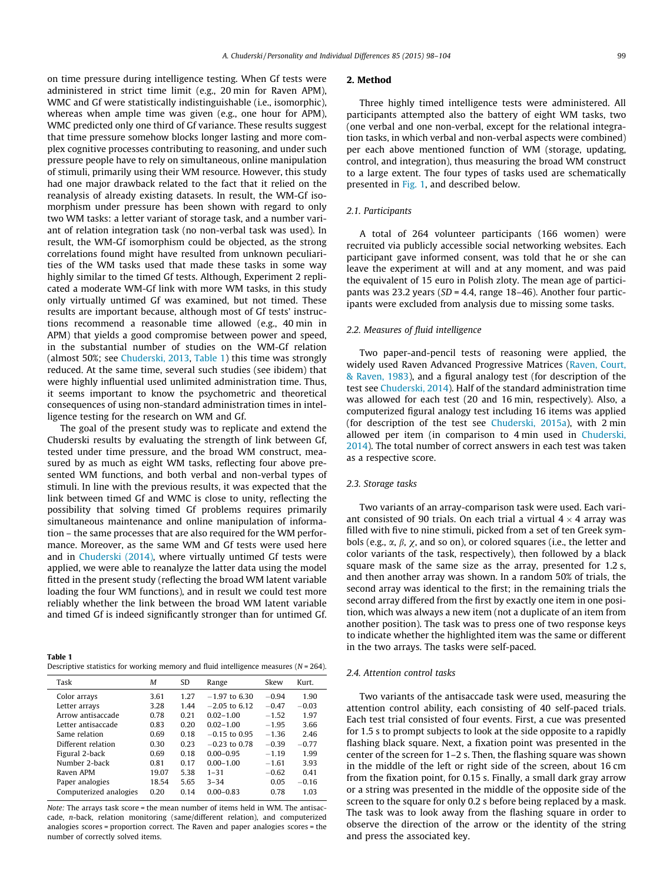on time pressure during intelligence testing. When Gf tests were administered in strict time limit (e.g., 20 min for Raven APM), WMC and Gf were statistically indistinguishable (i.e., isomorphic), whereas when ample time was given (e.g., one hour for APM), WMC predicted only one third of Gf variance. These results suggest that time pressure somehow blocks longer lasting and more complex cognitive processes contributing to reasoning, and under such pressure people have to rely on simultaneous, online manipulation of stimuli, primarily using their WM resource. However, this study had one major drawback related to the fact that it relied on the reanalysis of already existing datasets. In result, the WM-Gf isomorphism under pressure has been shown with regard to only two WM tasks: a letter variant of storage task, and a number variant of relation integration task (no non-verbal task was used). In result, the WM-Gf isomorphism could be objected, as the strong correlations found might have resulted from unknown peculiarities of the WM tasks used that made these tasks in some way highly similar to the timed Gf tests. Although, Experiment 2 replicated a moderate WM-Gf link with more WM tasks, in this study only virtually untimed Gf was examined, but not timed. These results are important because, although most of Gf tests' instructions recommend a reasonable time allowed (e.g., 40 min in APM) that yields a good compromise between power and speed, in the substantial number of studies on the WM-Gf relation (almost 50%; see [Chuderski, 2013](#page--1-0), Table 1) this time was strongly reduced. At the same time, several such studies (see ibidem) that were highly influential used unlimited administration time. Thus, it seems important to know the psychometric and theoretical consequences of using non-standard administration times in intelligence testing for the research on WM and Gf.

The goal of the present study was to replicate and extend the Chuderski results by evaluating the strength of link between Gf, tested under time pressure, and the broad WM construct, measured by as much as eight WM tasks, reflecting four above presented WM functions, and both verbal and non-verbal types of stimuli. In line with the previous results, it was expected that the link between timed Gf and WMC is close to unity, reflecting the possibility that solving timed Gf problems requires primarily simultaneous maintenance and online manipulation of information – the same processes that are also required for the WM performance. Moreover, as the same WM and Gf tests were used here and in [Chuderski \(2014\),](#page--1-0) where virtually untimed Gf tests were applied, we were able to reanalyze the latter data using the model fitted in the present study (reflecting the broad WM latent variable loading the four WM functions), and in result we could test more reliably whether the link between the broad WM latent variable and timed Gf is indeed significantly stronger than for untimed Gf.

| Table 1                                                                                  |  |
|------------------------------------------------------------------------------------------|--|
| Descriptive statistics for working memory and fluid intelligence measures ( $N = 264$ ). |  |

| Task                   | M     | SD.  | Range           | Skew    | Kurt.   |  |
|------------------------|-------|------|-----------------|---------|---------|--|
| Color arrays           | 3.61  | 1.27 | $-1.97$ to 6.30 | $-0.94$ | 1.90    |  |
| Letter arrays          | 3.28  | 1.44 | $-2.05$ to 6.12 | $-0.47$ | $-0.03$ |  |
| Arrow antisaccade      | 0.78  | 0.21 | $0.02 - 1.00$   | $-1.52$ | 1.97    |  |
| Letter antisaccade     | 0.83  | 0.20 | $0.02 - 1.00$   | $-1.95$ | 3.66    |  |
| Same relation          | 0.69  | 0.18 | $-0.15$ to 0.95 | $-1.36$ | 2.46    |  |
| Different relation     | 0.30  | 0.23 | $-0.23$ to 0.78 | $-0.39$ | $-0.77$ |  |
| Figural 2-back         | 0.69  | 0.18 | $0.00 - 0.95$   | $-1.19$ | 1.99    |  |
| Number 2-back          | 0.81  | 0.17 | $0.00 - 1.00$   | $-1.61$ | 3.93    |  |
| Raven APM              | 19.07 | 5.38 | $1 - 31$        | $-0.62$ | 0.41    |  |
| Paper analogies        | 18.54 | 5.65 | $3 - 34$        | 0.05    | $-0.16$ |  |
| Computerized analogies | 0.20  | 0.14 | $0.00 - 0.83$   | 0.78    | 1.03    |  |

Note: The arrays task score = the mean number of items held in WM. The antisaccade, n-back, relation monitoring (same/different relation), and computerized analogies scores = proportion correct. The Raven and paper analogies scores = the number of correctly solved items.

#### 2. Method

Three highly timed intelligence tests were administered. All participants attempted also the battery of eight WM tasks, two (one verbal and one non-verbal, except for the relational integration tasks, in which verbal and non-verbal aspects were combined) per each above mentioned function of WM (storage, updating, control, and integration), thus measuring the broad WM construct to a large extent. The four types of tasks used are schematically presented in [Fig. 1](#page--1-0), and described below.

#### 2.1. Participants

A total of 264 volunteer participants (166 women) were recruited via publicly accessible social networking websites. Each participant gave informed consent, was told that he or she can leave the experiment at will and at any moment, and was paid the equivalent of 15 euro in Polish zloty. The mean age of participants was 23.2 years ( $SD = 4.4$ , range 18–46). Another four participants were excluded from analysis due to missing some tasks.

#### 2.2. Measures of fluid intelligence

Two paper-and-pencil tests of reasoning were applied, the widely used Raven Advanced Progressive Matrices ([Raven, Court,](#page--1-0) [& Raven, 1983](#page--1-0)), and a figural analogy test (for description of the test see [Chuderski, 2014\)](#page--1-0). Half of the standard administration time was allowed for each test (20 and 16 min, respectively). Also, a computerized figural analogy test including 16 items was applied (for description of the test see [Chuderski, 2015a](#page--1-0)), with 2 min allowed per item (in comparison to 4 min used in [Chuderski,](#page--1-0) [2014](#page--1-0)). The total number of correct answers in each test was taken as a respective score.

#### 2.3. Storage tasks

Two variants of an array-comparison task were used. Each variant consisted of 90 trials. On each trial a virtual  $4 \times 4$  array was filled with five to nine stimuli, picked from a set of ten Greek symbols (e.g.,  $\alpha$ ,  $\beta$ ,  $\chi$ , and so on), or colored squares (i.e., the letter and color variants of the task, respectively), then followed by a black square mask of the same size as the array, presented for 1.2 s, and then another array was shown. In a random 50% of trials, the second array was identical to the first; in the remaining trials the second array differed from the first by exactly one item in one position, which was always a new item (not a duplicate of an item from another position). The task was to press one of two response keys to indicate whether the highlighted item was the same or different in the two arrays. The tasks were self-paced.

#### 2.4. Attention control tasks

Two variants of the antisaccade task were used, measuring the attention control ability, each consisting of 40 self-paced trials. Each test trial consisted of four events. First, a cue was presented for 1.5 s to prompt subjects to look at the side opposite to a rapidly flashing black square. Next, a fixation point was presented in the center of the screen for 1–2 s. Then, the flashing square was shown in the middle of the left or right side of the screen, about 16 cm from the fixation point, for 0.15 s. Finally, a small dark gray arrow or a string was presented in the middle of the opposite side of the screen to the square for only 0.2 s before being replaced by a mask. The task was to look away from the flashing square in order to observe the direction of the arrow or the identity of the string and press the associated key.